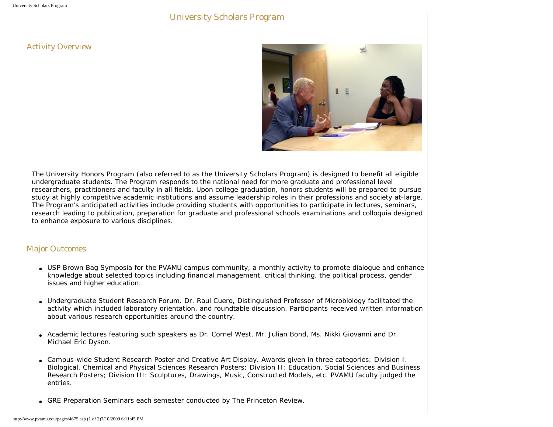## University Scholars Program

## Activity Overview



The University Honors Program (also referred to as the University Scholars Program) is designed to benefit all eligible undergraduate students. The Program responds to the national need for more graduate and professional level researchers, practitioners and faculty in all fields. Upon college graduation, honors students will be prepared to pursue study at highly competitive academic institutions and assume leadership roles in their professions and society at-large. The Program's anticipated activities include providing students with opportunities to participate in lectures, seminars, research leading to publication, preparation for graduate and professional schools examinations and colloquia designed to enhance exposure to various disciplines.

## Major Outcomes

- USP Brown Bag Symposia for the PVAMU campus community, a monthly activity to promote dialogue and enhance knowledge about selected topics including financial management, critical thinking, the political process, gender issues and higher education.
- Undergraduate Student Research Forum. Dr. Raul Cuero, Distinguished Professor of Microbiology facilitated the activity which included laboratory orientation, and roundtable discussion. Participants received written information about various research opportunities around the country.
- Academic lectures featuring such speakers as Dr. Cornel West, Mr. Julian Bond, Ms. Nikki Giovanni and Dr. Michael Eric Dyson.
- Campus-wide Student Research Poster and Creative Art Display. Awards given in three categories: Division I: Biological, Chemical and Physical Sciences Research Posters; Division II: Education, Social Sciences and Business Research Posters; Division III: Sculptures, Drawings, Music, Constructed Models, etc. PVAMU faculty judged the entries.
- GRE Preparation Seminars each semester conducted by The Princeton Review.